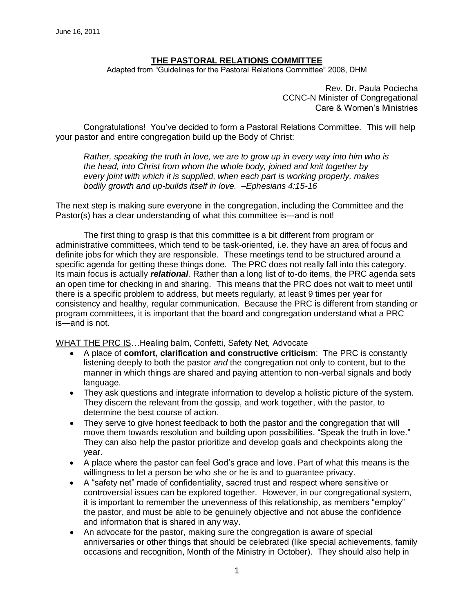# **THE PASTORAL RELATIONS COMMITTEE**

Adapted from "Guidelines for the Pastoral Relations Committee" 2008, DHM

Rev. Dr. Paula Pociecha CCNC-N Minister of Congregational Care & Women's Ministries

Congratulations! You've decided to form a Pastoral Relations Committee. This will help your pastor and entire congregation build up the Body of Christ:

*Rather, speaking the truth in love, we are to grow up in every way into him who is the head, into Christ from whom the whole body, joined and knit together by every joint with which it is supplied, when each part is working properly, makes bodily growth and up-builds itself in love. –Ephesians 4:15-16*

The next step is making sure everyone in the congregation, including the Committee and the Pastor(s) has a clear understanding of what this committee is---and is not!

The first thing to grasp is that this committee is a bit different from program or administrative committees, which tend to be task-oriented, i.e. they have an area of focus and definite jobs for which they are responsible. These meetings tend to be structured around a specific agenda for getting these things done. The PRC does not really fall into this category. Its main focus is actually *relational.* Rather than a long list of to-do items, the PRC agenda sets an open time for checking in and sharing. This means that the PRC does not wait to meet until there is a specific problem to address, but meets regularly, at least 9 times per year for consistency and healthy, regular communication. Because the PRC is different from standing or program committees, it is important that the board and congregation understand what a PRC is—and is not.

WHAT THE PRC IS…Healing balm, Confetti, Safety Net, Advocate

- A place of **comfort, clarification and constructive criticism**: The PRC is constantly listening deeply to both the pastor *and* the congregation not only to content, but to the manner in which things are shared and paying attention to non-verbal signals and body language.
- They ask questions and integrate information to develop a holistic picture of the system. They discern the relevant from the gossip, and work together, with the pastor, to determine the best course of action.
- They serve to give honest feedback to both the pastor and the congregation that will move them towards resolution and building upon possibilities. "Speak the truth in love." They can also help the pastor prioritize and develop goals and checkpoints along the year.
- A place where the pastor can feel God's grace and love. Part of what this means is the willingness to let a person be who she or he is and to guarantee privacy.
- A "safety net" made of confidentiality, sacred trust and respect where sensitive or controversial issues can be explored together. However, in our congregational system, it is important to remember the unevenness of this relationship, as members "employ" the pastor, and must be able to be genuinely objective and not abuse the confidence and information that is shared in any way.
- An advocate for the pastor, making sure the congregation is aware of special anniversaries or other things that should be celebrated (like special achievements, family occasions and recognition, Month of the Ministry in October). They should also help in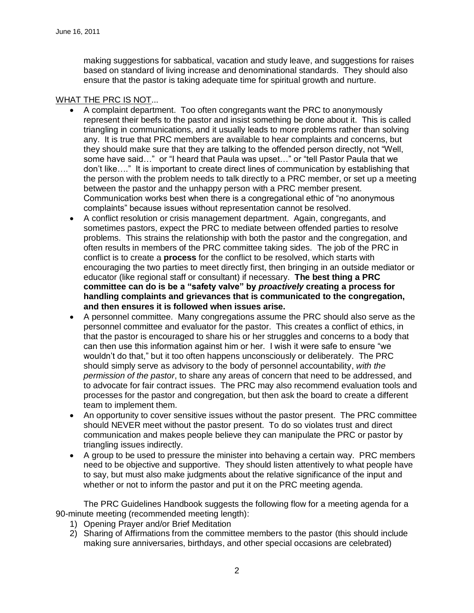making suggestions for sabbatical, vacation and study leave, and suggestions for raises based on standard of living increase and denominational standards. They should also ensure that the pastor is taking adequate time for spiritual growth and nurture.

# WHAT THE PRC IS NOT...

- A complaint department. Too often congregants want the PRC to anonymously represent their beefs to the pastor and insist something be done about it. This is called triangling in communications, and it usually leads to more problems rather than solving any. It is true that PRC members are available to hear complaints and concerns, but they should make sure that they are talking to the offended person directly, not "Well, some have said…" or "I heard that Paula was upset…" or "tell Pastor Paula that we don't like…." It is important to create direct lines of communication by establishing that the person with the problem needs to talk directly to a PRC member, or set up a meeting between the pastor and the unhappy person with a PRC member present. Communication works best when there is a congregational ethic of "no anonymous complaints" because issues without representation cannot be resolved.
- A conflict resolution or crisis management department. Again, congregants, and sometimes pastors, expect the PRC to mediate between offended parties to resolve problems. This strains the relationship with both the pastor and the congregation, and often results in members of the PRC committee taking sides. The job of the PRC in conflict is to create a **process** for the conflict to be resolved, which starts with encouraging the two parties to meet directly first, then bringing in an outside mediator or educator (like regional staff or consultant) if necessary. **The best thing a PRC committee can do is be a "safety valve" by** *proactively* **creating a process for handling complaints and grievances that is communicated to the congregation, and then ensures it is followed when issues arise.**
- A personnel committee. Many congregations assume the PRC should also serve as the personnel committee and evaluator for the pastor. This creates a conflict of ethics, in that the pastor is encouraged to share his or her struggles and concerns to a body that can then use this information against him or her. I wish it were safe to ensure "we wouldn't do that," but it too often happens unconsciously or deliberately. The PRC should simply serve as advisory to the body of personnel accountability, *with the permission of the pastor*, to share any areas of concern that need to be addressed, and to advocate for fair contract issues. The PRC may also recommend evaluation tools and processes for the pastor and congregation, but then ask the board to create a different team to implement them.
- An opportunity to cover sensitive issues without the pastor present. The PRC committee should NEVER meet without the pastor present. To do so violates trust and direct communication and makes people believe they can manipulate the PRC or pastor by triangling issues indirectly.
- A group to be used to pressure the minister into behaving a certain way. PRC members need to be objective and supportive. They should listen attentively to what people have to say, but must also make judgments about the relative significance of the input and whether or not to inform the pastor and put it on the PRC meeting agenda.

The PRC Guidelines Handbook suggests the following flow for a meeting agenda for a 90-minute meeting (recommended meeting length):

- 1) Opening Prayer and/or Brief Meditation
- 2) Sharing of Affirmations from the committee members to the pastor (this should include making sure anniversaries, birthdays, and other special occasions are celebrated)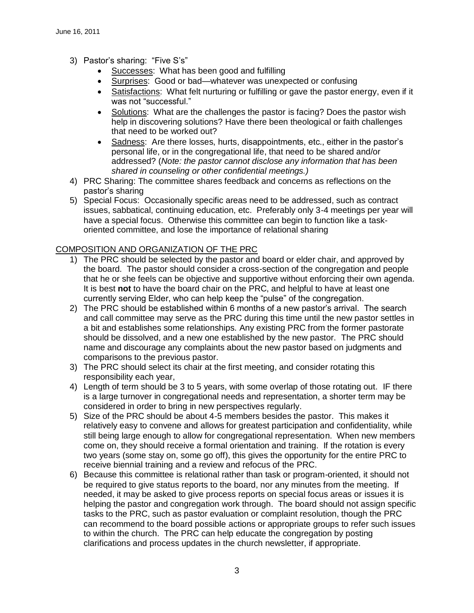- 3) Pastor's sharing: "Five S's"
	- Successes: What has been good and fulfilling
	- Surprises: Good or bad—whatever was unexpected or confusing
	- Satisfactions: What felt nurturing or fulfilling or gave the pastor energy, even if it was not "successful."
	- Solutions: What are the challenges the pastor is facing? Does the pastor wish help in discovering solutions? Have there been theological or faith challenges that need to be worked out?
	- Sadness: Are there losses, hurts, disappointments, etc., either in the pastor's personal life, or in the congregational life, that need to be shared and/or addressed? (*Note: the pastor cannot disclose any information that has been shared in counseling or other confidential meetings.)*
- 4) PRC Sharing: The committee shares feedback and concerns as reflections on the pastor's sharing
- 5) Special Focus: Occasionally specific areas need to be addressed, such as contract issues, sabbatical, continuing education, etc. Preferably only 3-4 meetings per year will have a special focus. Otherwise this committee can begin to function like a taskoriented committee, and lose the importance of relational sharing

# COMPOSITION AND ORGANIZATION OF THE PRC

- 1) The PRC should be selected by the pastor and board or elder chair, and approved by the board. The pastor should consider a cross-section of the congregation and people that he or she feels can be objective and supportive without enforcing their own agenda. It is best **not** to have the board chair on the PRC, and helpful to have at least one currently serving Elder, who can help keep the "pulse" of the congregation.
- 2) The PRC should be established within 6 months of a new pastor's arrival. The search and call committee may serve as the PRC during this time until the new pastor settles in a bit and establishes some relationships. Any existing PRC from the former pastorate should be dissolved, and a new one established by the new pastor. The PRC should name and discourage any complaints about the new pastor based on judgments and comparisons to the previous pastor.
- 3) The PRC should select its chair at the first meeting, and consider rotating this responsibility each year,
- 4) Length of term should be 3 to 5 years, with some overlap of those rotating out. IF there is a large turnover in congregational needs and representation, a shorter term may be considered in order to bring in new perspectives regularly.
- 5) Size of the PRC should be about 4-5 members besides the pastor. This makes it relatively easy to convene and allows for greatest participation and confidentiality, while still being large enough to allow for congregational representation. When new members come on, they should receive a formal orientation and training. If the rotation is every two years (some stay on, some go off), this gives the opportunity for the entire PRC to receive biennial training and a review and refocus of the PRC.
- 6) Because this committee is relational rather than task or program-oriented, it should not be required to give status reports to the board, nor any minutes from the meeting. If needed, it may be asked to give process reports on special focus areas or issues it is helping the pastor and congregation work through. The board should not assign specific tasks to the PRC, such as pastor evaluation or complaint resolution, though the PRC can recommend to the board possible actions or appropriate groups to refer such issues to within the church. The PRC can help educate the congregation by posting clarifications and process updates in the church newsletter, if appropriate.